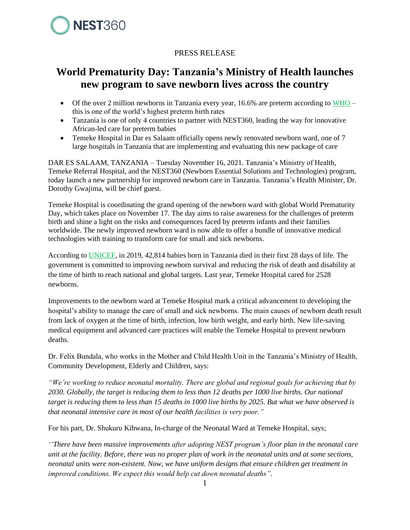

## PRESS RELEASE

## **World Prematurity Day: Tanzania's Ministry of Health launches new program to save newborn lives across the country**

- Of the over 2 million newborns in Tanzania every year, 16.6% are preterm according to  $WHO$ this is one of the world's highest preterm birth rates
- Tanzania is one of only 4 countries to partner with NEST360, leading the way for innovative African-led care for preterm babies
- Temeke Hospital in Dar es Salaam officially opens newly renovated newborn ward, one of 7 large hospitals in Tanzania that are implementing and evaluating this new package of care

DAR ES SALAAM, TANZANIA – Tuesday November 16, 2021. Tanzania's Ministry of Health, Temeke Referral Hospital, and the NEST360 (Newborn Essential Solutions and Technologies) program, today launch a new partnership for improved newborn care in Tanzania. Tanzania's Health Minister, Dr. Dorothy Gwajima, will be chief guest.

Temeke Hospital is coordinating the grand opening of the newborn ward with global World Prematurity Day, which takes place on November 17. The day aims to raise awareness for the challenges of preterm birth and shine a light on the risks and consequences faced by preterm infants and their families worldwide. The newly improved newborn ward is now able to offer a bundle of innovative medical technologies with training to transform care for small and sick newborns.

According to [UNICEF,](https://data.unicef.org/resources/levels-and-trends-in-child-mortality/) in 2019, 42,814 babies born in Tanzania died in their first 28 days of life. The government is committed to improving newborn survival and reducing the risk of death and disability at the time of birth to reach national and global targets. Last year, Temeke Hospital cared for 2528 newborns.

Improvements to the newborn ward at Temeke Hospital mark a critical advancement to developing the hospital's ability to manage the care of small and sick newborns. The main causes of newborn death result from lack of oxygen at the time of birth, infection, low birth weight, and early birth. New life-saving medical equipment and advanced care practices will enable the Temeke Hospital to prevent newborn deaths.

Dr. Felix Bundala, who works in the Mother and Child Health Unit in the Tanzania's Ministry of Health, Community Development, Elderly and Children, says:

*"We're working to reduce neonatal mortality. There are global and regional goals for achieving that by 2030. Globally, the target is reducing them to less than 12 deaths per 1000 live births. Our national target is reducing them to less than 15 deaths in 1000 live births by 2025. But what we have observed is that neonatal intensive care in most of our health facilities is very poor."*

For his part, Dr. Shukuru Kibwana, In-charge of the Neonatal Ward at Temeke Hospital, says;

*''There have been massive improvements after adopting NEST program's floor plan in the neonatal care unit at the facility. Before, there was no proper plan of work in the neonatal units and at some sections, neonatal units were non-existent. Now, we have uniform designs that ensure children get treatment in improved conditions. We expect this would help cut down neonatal deaths".*